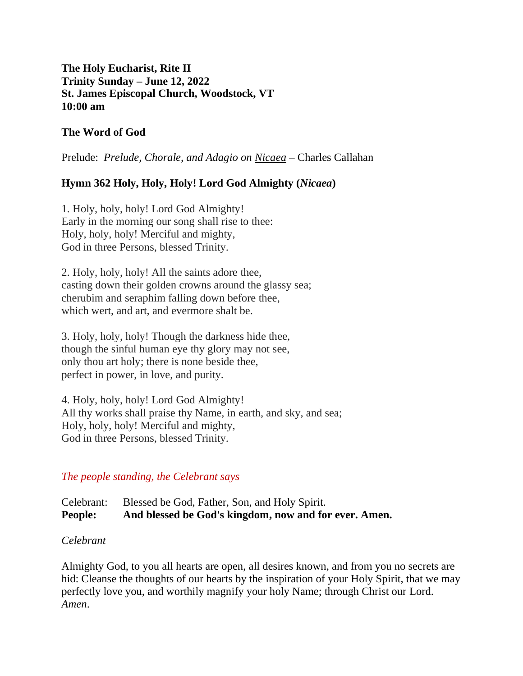# **The Holy Eucharist, Rite II Trinity Sunday – June 12, 2022 St. James Episcopal Church, Woodstock, VT 10:00 am**

# **The Word of God**

Prelude: *Prelude, Chorale, and Adagio on Nicaea –* Charles Callahan

# **Hymn 362 Holy, Holy, Holy! Lord God Almighty (***Nicaea***)**

1. Holy, holy, holy! Lord God Almighty! Early in the morning our song shall rise to thee: Holy, holy, holy! Merciful and mighty, God in three Persons, blessed Trinity.

2. Holy, holy, holy! All the saints adore thee, casting down their golden crowns around the glassy sea; cherubim and seraphim falling down before thee, which wert, and art, and evermore shalt be.

3. Holy, holy, holy! Though the darkness hide thee, though the sinful human eye thy glory may not see, only thou art holy; there is none beside thee, perfect in power, in love, and purity.

4. Holy, holy, holy! Lord God Almighty! All thy works shall praise thy Name, in earth, and sky, and sea; Holy, holy, holy! Merciful and mighty, God in three Persons, blessed Trinity.

# *The people standing, the Celebrant says*

Celebrant: Blessed be God, Father, Son, and Holy Spirit. **People: And blessed be God's kingdom, now and for ever. Amen.** 

#### *Celebrant*

Almighty God, to you all hearts are open, all desires known, and from you no secrets are hid: Cleanse the thoughts of our hearts by the inspiration of your Holy Spirit, that we may perfectly love you, and worthily magnify your holy Name; through Christ our Lord. *Amen*.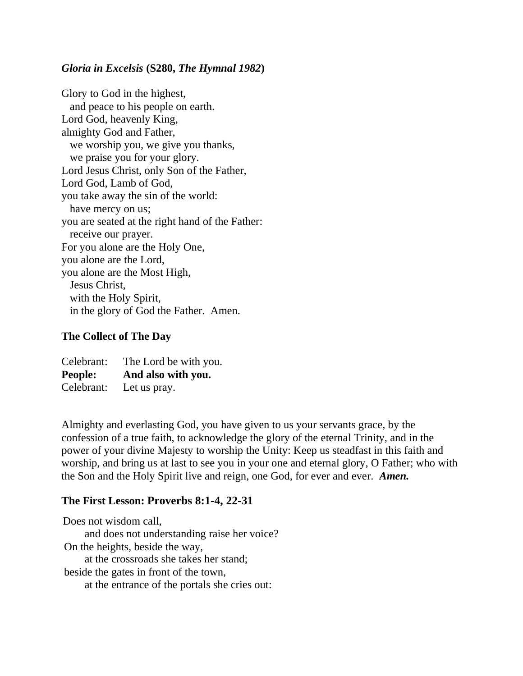#### *Gloria in Excelsis* **(S280,** *The Hymnal 1982***)**

Glory to God in the highest, and peace to his people on earth. Lord God, heavenly King, almighty God and Father, we worship you, we give you thanks, we praise you for your glory. Lord Jesus Christ, only Son of the Father, Lord God, Lamb of God, you take away the sin of the world: have mercy on us; you are seated at the right hand of the Father: receive our prayer. For you alone are the Holy One, you alone are the Lord, you alone are the Most High, Jesus Christ, with the Holy Spirit, in the glory of God the Father. Amen.

#### **The Collect of The Day**

| Celebrant: | The Lord be with you. |
|------------|-----------------------|
| People:    | And also with you.    |
| Celebrant: | Let us pray.          |

Almighty and everlasting God, you have given to us your servants grace, by the confession of a true faith, to acknowledge the glory of the eternal Trinity, and in the power of your divine Majesty to worship the Unity: Keep us steadfast in this faith and worship, and bring us at last to see you in your one and eternal glory, O Father; who with the Son and the Holy Spirit live and reign, one God, for ever and ever. *Amen.*

#### **The First Lesson: Proverbs 8:1-4, 22-31**

Does not wisdom call, and does not understanding raise her voice? On the heights, beside the way, at the crossroads she takes her stand; beside the gates in front of the town, at the entrance of the portals she cries out: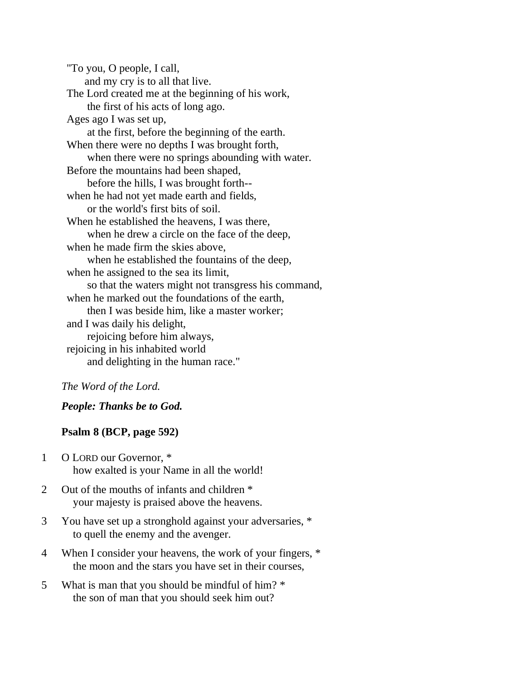"To you, O people, I call, and my cry is to all that live. The Lord created me at the beginning of his work, the first of his acts of long ago. Ages ago I was set up, at the first, before the beginning of the earth. When there were no depths I was brought forth, when there were no springs abounding with water. Before the mountains had been shaped, before the hills, I was brought forth- when he had not yet made earth and fields, or the world's first bits of soil. When he established the heavens, I was there, when he drew a circle on the face of the deep, when he made firm the skies above, when he established the fountains of the deep, when he assigned to the sea its limit, so that the waters might not transgress his command, when he marked out the foundations of the earth, then I was beside him, like a master worker; and I was daily his delight, rejoicing before him always, rejoicing in his inhabited world and delighting in the human race."

#### *The Word of the Lord.*

*People: Thanks be to God.* 

#### **Psalm 8 (BCP, page 592)**

- 1 O LORD our Governor, \* how exalted is your Name in all the world!
- 2 Out of the mouths of infants and children \* your majesty is praised above the heavens.
- 3 You have set up a stronghold against your adversaries, \* to quell the enemy and the avenger.
- 4 When I consider your heavens, the work of your fingers, \* the moon and the stars you have set in their courses,
- 5 What is man that you should be mindful of him? \* the son of man that you should seek him out?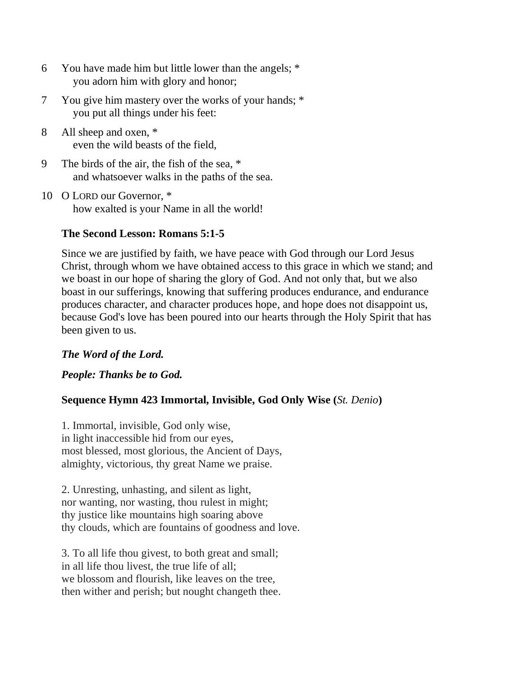- 6 You have made him but little lower than the angels; \* you adorn him with glory and honor;
- 7 You give him mastery over the works of your hands; \* you put all things under his feet:
- 8 All sheep and oxen, \* even the wild beasts of the field,
- 9 The birds of the air, the fish of the sea, \* and whatsoever walks in the paths of the sea.
- 10 O LORD our Governor, \* how exalted is your Name in all the world!

# **The Second Lesson: Romans 5:1-5**

Since we are justified by faith, we have peace with God through our Lord Jesus Christ, through whom we have obtained access to this grace in which we stand; and we boast in our hope of sharing the glory of God. And not only that, but we also boast in our sufferings, knowing that suffering produces endurance, and endurance produces character, and character produces hope, and hope does not disappoint us, because God's love has been poured into our hearts through the Holy Spirit that has been given to us.

# *The Word of the Lord.*

*People: Thanks be to God.* 

# **Sequence Hymn 423 Immortal, Invisible, God Only Wise (***St. Denio***)**

1. Immortal, invisible, God only wise, in light inaccessible hid from our eyes, most blessed, most glorious, the Ancient of Days, almighty, victorious, thy great Name we praise.

2. Unresting, unhasting, and silent as light, nor wanting, nor wasting, thou rulest in might; thy justice like mountains high soaring above thy clouds, which are fountains of goodness and love.

3. To all life thou givest, to both great and small; in all life thou livest, the true life of all; we blossom and flourish, like leaves on the tree, then wither and perish; but nought changeth thee.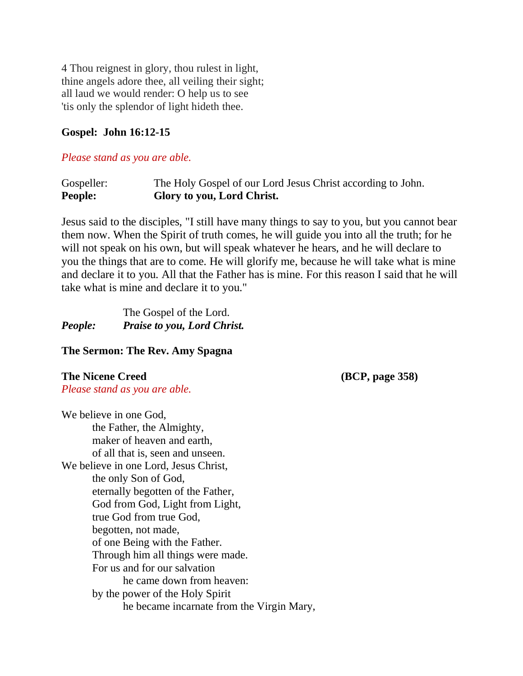4 Thou reignest in glory, thou rulest in light, thine angels adore thee, all veiling their sight; all laud we would render: O help us to see 'tis only the splendor of light hideth thee.

### **Gospel: John 16:12-15**

#### *Please stand as you are able.*

Gospeller: The Holy Gospel of our Lord Jesus Christ according to John. **People: Glory to you, Lord Christ.**

Jesus said to the disciples, "I still have many things to say to you, but you cannot bear them now. When the Spirit of truth comes, he will guide you into all the truth; for he will not speak on his own, but will speak whatever he hears, and he will declare to you the things that are to come. He will glorify me, because he will take what is mine and declare it to you. All that the Father has is mine. For this reason I said that he will take what is mine and declare it to you."

|         | The Gospel of the Lord.            |
|---------|------------------------------------|
| People: | <b>Praise to you, Lord Christ.</b> |

#### **The Sermon: The Rev. Amy Spagna**

**The Nicene Creed (BCP, page 358)** *Please stand as you are able.*

We believe in one God, the Father, the Almighty, maker of heaven and earth, of all that is, seen and unseen. We believe in one Lord, Jesus Christ, the only Son of God, eternally begotten of the Father, God from God, Light from Light, true God from true God, begotten, not made, of one Being with the Father. Through him all things were made. For us and for our salvation he came down from heaven: by the power of the Holy Spirit he became incarnate from the Virgin Mary,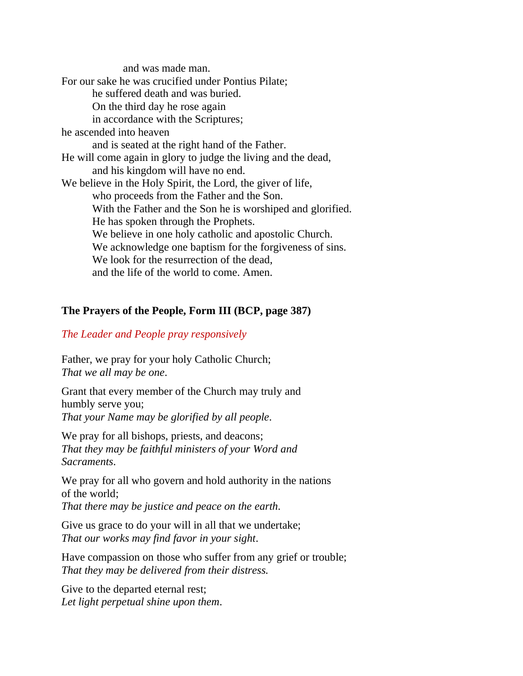and was made man. For our sake he was crucified under Pontius Pilate; he suffered death and was buried. On the third day he rose again in accordance with the Scriptures; he ascended into heaven and is seated at the right hand of the Father. He will come again in glory to judge the living and the dead, and his kingdom will have no end. We believe in the Holy Spirit, the Lord, the giver of life, who proceeds from the Father and the Son. With the Father and the Son he is worshiped and glorified. He has spoken through the Prophets. We believe in one holy catholic and apostolic Church. We acknowledge one baptism for the forgiveness of sins. We look for the resurrection of the dead. and the life of the world to come. Amen.

#### **The Prayers of the People, Form III (BCP, page 387)**

#### *The Leader and People pray responsively*

Father, we pray for your holy Catholic Church; *That we all may be one*.

Grant that every member of the Church may truly and humbly serve you; *That your Name may be glorified by all people*.

We pray for all bishops, priests, and deacons; *That they may be faithful ministers of your Word and Sacraments*.

We pray for all who govern and hold authority in the nations of the world;

*That there may be justice and peace on the earth.*

Give us grace to do your will in all that we undertake; *That our works may find favor in your sight*.

Have compassion on those who suffer from any grief or trouble; *That they may be delivered from their distress.*

Give to the departed eternal rest; *Let light perpetual shine upon them*.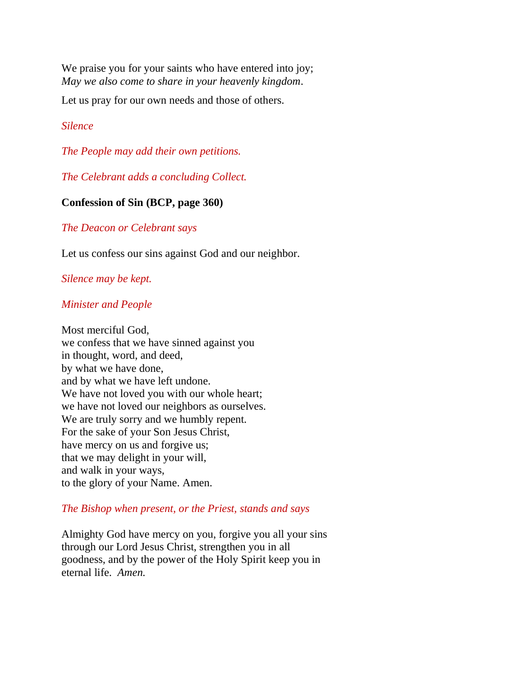We praise you for your saints who have entered into joy; *May we also come to share in your heavenly kingdom*.

Let us pray for our own needs and those of others.

# *Silence*

*The People may add their own petitions.*

*The Celebrant adds a concluding Collect.*

### **Confession of Sin (BCP, page 360)**

#### *The Deacon or Celebrant says*

Let us confess our sins against God and our neighbor.

# *Silence may be kept.*

### *Minister and People*

Most merciful God, we confess that we have sinned against you in thought, word, and deed, by what we have done, and by what we have left undone. We have not loved you with our whole heart; we have not loved our neighbors as ourselves. We are truly sorry and we humbly repent. For the sake of your Son Jesus Christ, have mercy on us and forgive us; that we may delight in your will, and walk in your ways, to the glory of your Name. Amen.

#### *The Bishop when present, or the Priest, stands and says*

Almighty God have mercy on you, forgive you all your sins through our Lord Jesus Christ, strengthen you in all goodness, and by the power of the Holy Spirit keep you in eternal life. *Amen.*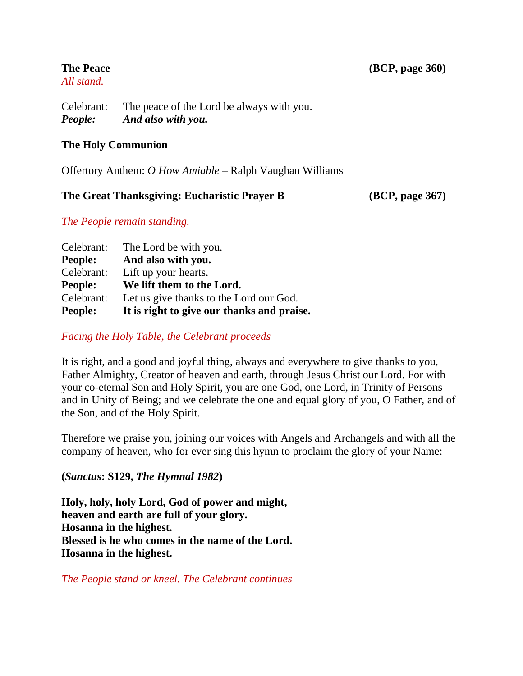# *All stand.*

Celebrant: The peace of the Lord be always with you. *People: And also with you.*

# **The Holy Communion**

Offertory Anthem: *O How Amiable* – Ralph Vaughan Williams

# **The Great Thanksgiving: Eucharistic Prayer B (BCP, page 367)**

# *The People remain standing.*

| Celebrant:     | The Lord be with you.                      |
|----------------|--------------------------------------------|
| <b>People:</b> | And also with you.                         |
| Celebrant:     | Lift up your hearts.                       |
| <b>People:</b> | We lift them to the Lord.                  |
| Celebrant:     | Let us give thanks to the Lord our God.    |
| <b>People:</b> | It is right to give our thanks and praise. |

# *Facing the Holy Table, the Celebrant proceeds*

It is right, and a good and joyful thing, always and everywhere to give thanks to you, Father Almighty, Creator of heaven and earth, through Jesus Christ our Lord. For with your co-eternal Son and Holy Spirit, you are one God, one Lord, in Trinity of Persons and in Unity of Being; and we celebrate the one and equal glory of you, O Father, and of the Son, and of the Holy Spirit.

Therefore we praise you, joining our voices with Angels and Archangels and with all the company of heaven, who for ever sing this hymn to proclaim the glory of your Name:

# **(***Sanctus***: S129,** *The Hymnal 1982***)**

**Holy, holy, holy Lord, God of power and might, heaven and earth are full of your glory. Hosanna in the highest. Blessed is he who comes in the name of the Lord. Hosanna in the highest.**

*The People stand or kneel. The Celebrant continues*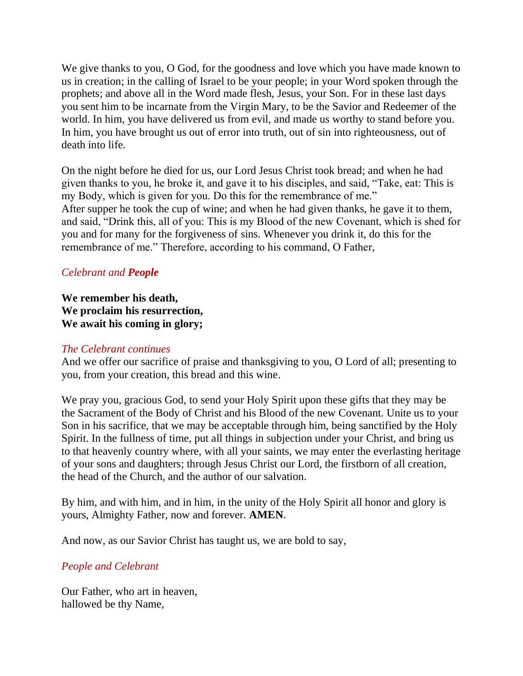We give thanks to you, O God, for the goodness and love which you have made known to us in creation; in the calling of Israel to be your people; in your Word spoken through the prophets; and above all in the Word made flesh, Jesus, your Son. For in these last days you sent him to be incarnate from the Virgin Mary, to be the Savior and Redeemer of the world. In him, you have delivered us from evil, and made us worthy to stand before you. In him, you have brought us out of error into truth, out of sin into righteousness, out of death into life.

On the night before he died for us, our Lord Jesus Christ took bread; and when he had given thanks to you, he broke it, and gave it to his disciples, and said, "Take, eat: This is my Body, which is given for you. Do this for the remembrance of me." After supper he took the cup of wine; and when he had given thanks, he gave it to them, and said, "Drink this, all of you: This is my Blood of the new Covenant, which is shed for you and for many for the forgiveness of sins. Whenever you drink it, do this for the remembrance of me." Therefore, according to his command, O Father,

# *Celebrant and People*

**We remember his death, We proclaim his resurrection, We await his coming in glory;**

#### *The Celebrant continues*

And we offer our sacrifice of praise and thanksgiving to you, O Lord of all; presenting to you, from your creation, this bread and this wine.

We pray you, gracious God, to send your Holy Spirit upon these gifts that they may be the Sacrament of the Body of Christ and his Blood of the new Covenant. Unite us to your Son in his sacrifice, that we may be acceptable through him, being sanctified by the Holy Spirit. In the fullness of time, put all things in subjection under your Christ, and bring us to that heavenly country where, with all your saints, we may enter the everlasting heritage of your sons and daughters; through Jesus Christ our Lord, the firstborn of all creation, the head of the Church, and the author of our salvation.

By him, and with him, and in him, in the unity of the Holy Spirit all honor and glory is yours, Almighty Father, now and forever. **AMEN**.

And now, as our Savior Christ has taught us, we are bold to say,

# *People and Celebrant*

Our Father, who art in heaven, hallowed be thy Name,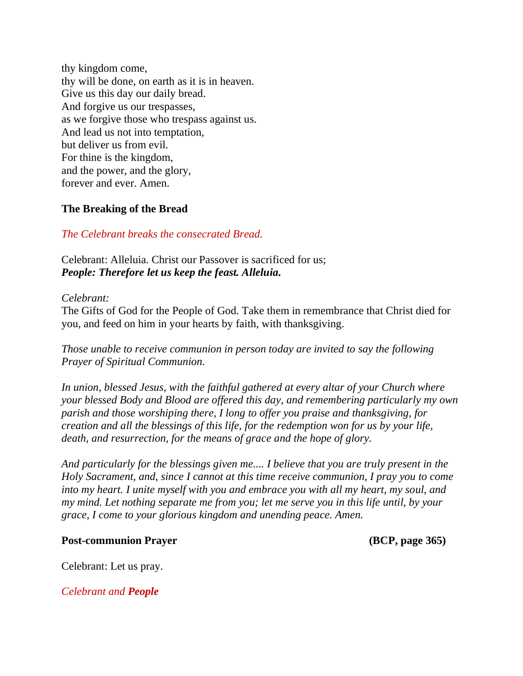thy kingdom come, thy will be done, on earth as it is in heaven. Give us this day our daily bread. And forgive us our trespasses, as we forgive those who trespass against us. And lead us not into temptation, but deliver us from evil. For thine is the kingdom, and the power, and the glory, forever and ever. Amen.

### **The Breaking of the Bread**

### *The Celebrant breaks the consecrated Bread.*

Celebrant: Alleluia. Christ our Passover is sacrificed for us; *People: Therefore let us keep the feast. Alleluia.*

#### *Celebrant:*

The Gifts of God for the People of God. Take them in remembrance that Christ died for you, and feed on him in your hearts by faith, with thanksgiving.

*Those unable to receive communion in person today are invited to say the following Prayer of Spiritual Communion.*

*In union, blessed Jesus, with the faithful gathered at every altar of your Church where your blessed Body and Blood are offered this day, and remembering particularly my own parish and those worshiping there, I long to offer you praise and thanksgiving, for creation and all the blessings of this life, for the redemption won for us by your life, death, and resurrection, for the means of grace and the hope of glory.*

*And particularly for the blessings given me.... I believe that you are truly present in the Holy Sacrament, and, since I cannot at this time receive communion, I pray you to come into my heart. I unite myself with you and embrace you with all my heart, my soul, and my mind. Let nothing separate me from you; let me serve you in this life until, by your grace, I come to your glorious kingdom and unending peace. Amen.*

#### **Post-communion Prayer (BCP, page 365)**

Celebrant: Let us pray.

*Celebrant and People*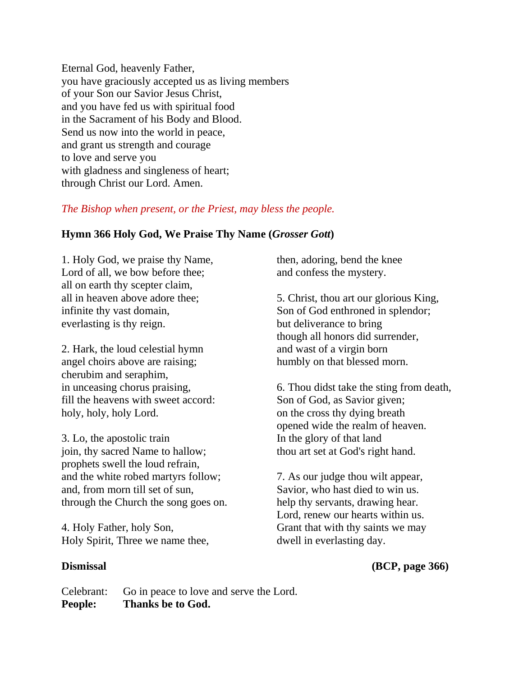Eternal God, heavenly Father, you have graciously accepted us as living members of your Son our Savior Jesus Christ, and you have fed us with spiritual food in the Sacrament of his Body and Blood. Send us now into the world in peace, and grant us strength and courage to love and serve you with gladness and singleness of heart; through Christ our Lord. Amen.

#### *The Bishop when present, or the Priest, may bless the people.*

### **Hymn 366 Holy God, We Praise Thy Name (***Grosser Gott***)**

1. Holy God, we praise thy Name, Lord of all, we bow before thee; all on earth thy scepter claim, all in heaven above adore thee; infinite thy vast domain, everlasting is thy reign.

2. Hark, the loud celestial hymn angel choirs above are raising; cherubim and seraphim, in unceasing chorus praising, fill the heavens with sweet accord: holy, holy, holy Lord.

3. Lo, the apostolic train join, thy sacred Name to hallow; prophets swell the loud refrain, and the white robed martyrs follow; and, from morn till set of sun, through the Church the song goes on.

4. Holy Father, holy Son, Holy Spirit, Three we name thee,

then, adoring, bend the knee and confess the mystery.

5. Christ, thou art our glorious King, Son of God enthroned in splendor; but deliverance to bring though all honors did surrender, and wast of a virgin born humbly on that blessed morn.

6. Thou didst take the sting from death, Son of God, as Savior given; on the cross thy dying breath opened wide the realm of heaven. In the glory of that land thou art set at God's right hand.

7. As our judge thou wilt appear, Savior, who hast died to win us. help thy servants, drawing hear. Lord, renew our hearts within us. Grant that with thy saints we may dwell in everlasting day.

# **Dismissal (BCP, page 366)**

Celebrant: Go in peace to love and serve the Lord. **People: Thanks be to God.**